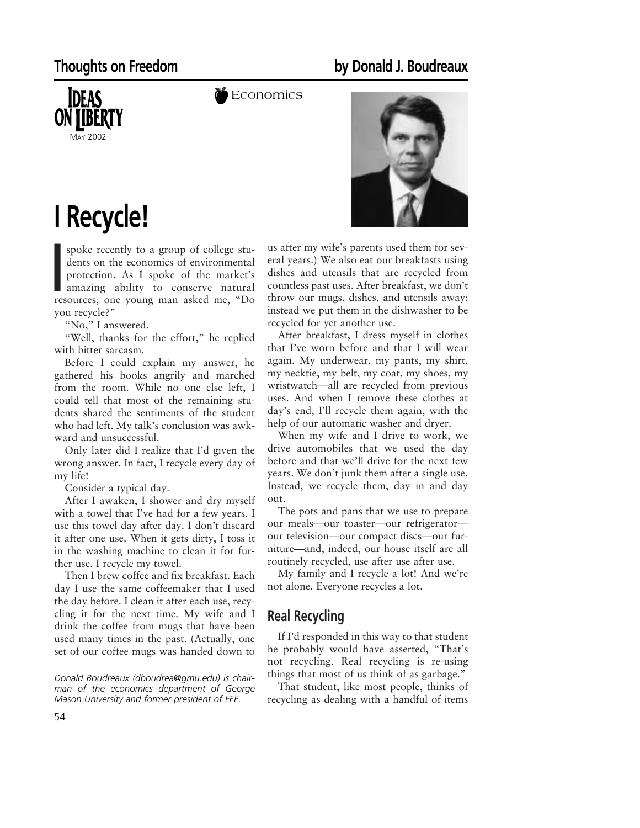## **Thoughts on Freedom by Donald J. Boudreaux**



**Economics** 



**I Recycle!**

dents on the economics of environmental<br>protection. As I spoke of the market's<br>amazing ability to conserve natural<br>resources, one young man asked me, "Do spoke recently to a group of college students on the economics of environmental protection. As I spoke of the market's amazing ability to conserve natural you recycle?"

"No," I answered.

"Well, thanks for the effort," he replied with bitter sarcasm.

Before I could explain my answer, he gathered his books angrily and marched from the room. While no one else left, I could tell that most of the remaining students shared the sentiments of the student who had left. My talk's conclusion was awkward and unsuccessful.

Only later did I realize that I'd given the wrong answer. In fact, I recycle every day of my life!

Consider a typical day.

After I awaken, I shower and dry myself with a towel that I've had for a few years. I use this towel day after day. I don't discard it after one use. When it gets dirty, I toss it in the washing machine to clean it for further use. I recycle my towel.

Then I brew coffee and fix breakfast. Each day I use the same coffeemaker that I used the day before. I clean it after each use, recycling it for the next time. My wife and I drink the coffee from mugs that have been used many times in the past. (Actually, one set of our coffee mugs was handed down to us after my wife's parents used them for several years.) We also eat our breakfasts using dishes and utensils that are recycled from countless past uses. After breakfast, we don't throw our mugs, dishes, and utensils away; instead we put them in the dishwasher to be recycled for yet another use.

After breakfast, I dress myself in clothes that I've worn before and that I will wear again. My underwear, my pants, my shirt, my necktie, my belt, my coat, my shoes, my wristwatch—all are recycled from previous uses. And when I remove these clothes at day's end, I'll recycle them again, with the help of our automatic washer and dryer.

When my wife and I drive to work, we drive automobiles that we used the day before and that we'll drive for the next few years. We don't junk them after a single use. Instead, we recycle them, day in and day out.

The pots and pans that we use to prepare our meals—our toaster—our refrigerator our television—our compact discs—our furniture—and, indeed, our house itself are all routinely recycled, use after use after use.

My family and I recycle a lot! And we're not alone. Everyone recycles a lot.

## **Real Recycling**

If I'd responded in this way to that student he probably would have asserted, "That's not recycling. Real recycling is re-using things that most of us think of as garbage."

That student, like most people, thinks of recycling as dealing with a handful of items

*Donald Boudreaux (dboudrea@gmu.edu) is chairman of the economics department of George Mason University and former president of FEE.*